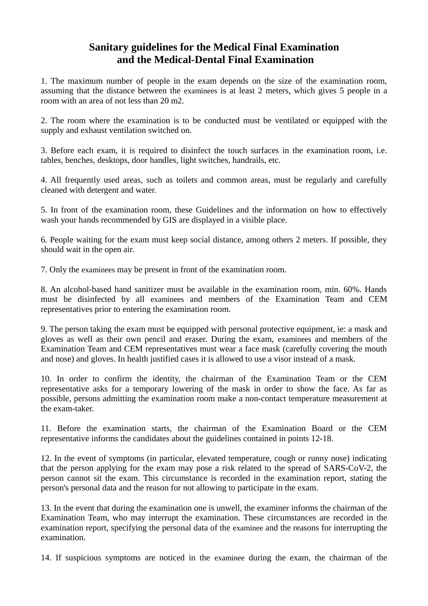## **Sanitary guidelines for the Medical Final Examination and the Medical-Dental Final Examination**

1. The maximum number of people in the exam depends on the size of the examination room, assuming that the distance between the examinees is at least 2 meters, which gives 5 people in a room with an area of not less than 20 m2.

2. The room where the examination is to be conducted must be ventilated or equipped with the supply and exhaust ventilation switched on.

3. Before each exam, it is required to disinfect the touch surfaces in the examination room, i.e. tables, benches, desktops, door handles, light switches, handrails, etc.

4. All frequently used areas, such as toilets and common areas, must be regularly and carefully cleaned with detergent and water.

5. In front of the examination room, these Guidelines and the information on how to effectively wash your hands recommended by GIS are displayed in a visible place.

6. People waiting for the exam must keep social distance, among others 2 meters. If possible, they should wait in the open air.

7. Only the examinees may be present in front of the examination room.

8. An alcohol-based hand sanitizer must be available in the examination room, min. 60%. Hands must be disinfected by all examinees and members of the Examination Team and CEM representatives prior to entering the examination room.

9. The person taking the exam must be equipped with personal protective equipment, ie: a mask and gloves as well as their own pencil and eraser. During the exam, examinees and members of the Examination Team and CEM representatives must wear a face mask (carefully covering the mouth and nose) and gloves. In health justified cases it is allowed to use a visor instead of a mask.

10. In order to confirm the identity, the chairman of the Examination Team or the CEM representative asks for a temporary lowering of the mask in order to show the face. As far as possible, persons admitting the examination room make a non-contact temperature measurement at the exam-taker.

11. Before the examination starts, the chairman of the Examination Board or the CEM representative informs the candidates about the guidelines contained in points 12-18.

12. In the event of symptoms (in particular, elevated temperature, cough or runny nose) indicating that the person applying for the exam may pose a risk related to the spread of SARS-CoV-2, the person cannot sit the exam. This circumstance is recorded in the examination report, stating the person's personal data and the reason for not allowing to participate in the exam.

13. In the event that during the examination one is unwell, the examiner informs the chairman of the Examination Team, who may interrupt the examination. These circumstances are recorded in the examination report, specifying the personal data of the examinee and the reasons for interrupting the examination.

14. If suspicious symptoms are noticed in the examinee during the exam, the chairman of the